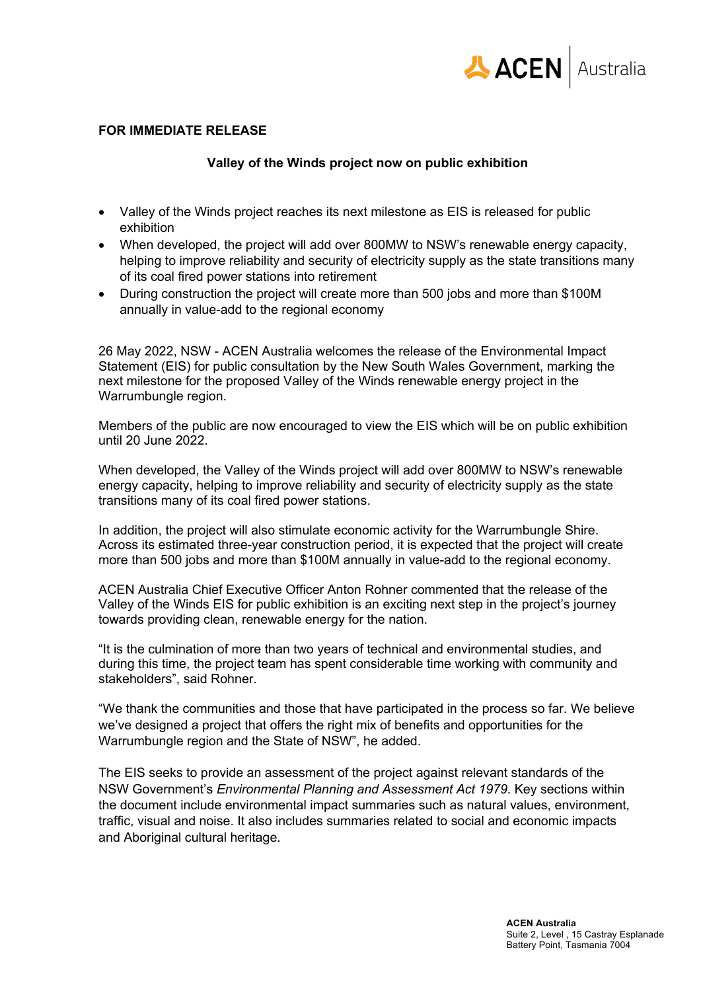

## **FOR IMMEDIATE RELEASE**

## **Valley of the Winds project now on public exhibition**

- Valley of the Winds project reaches its next milestone as EIS is released for public exhibition
- When developed, the project will add over 800MW to NSW's renewable energy capacity, helping to improve reliability and security of electricity supply as the state transitions many of its coal fired power stations into retirement
- During construction the project will create more than 500 jobs and more than \$100M annually in value-add to the regional economy

26 May 2022, NSW - ACEN Australia welcomes the release of the Environmental Impact Statement (EIS) for public consultation by the New South Wales Government, marking the next milestone for the proposed Valley of the Winds renewable energy project in the Warrumbungle region.

Members of the public are now encouraged to view the EIS which will be on public exhibition until 20 June 2022.

When developed, the Valley of the Winds project will add over 800MW to NSW's renewable energy capacity, helping to improve reliability and security of electricity supply as the state transitions many of its coal fired power stations.

In addition, the project will also stimulate economic activity for the Warrumbungle Shire. Across its estimated three-year construction period, it is expected that the project will create more than 500 jobs and more than \$100M annually in value-add to the regional economy.

ACEN Australia Chief Executive Officer Anton Rohner commented that the release of the Valley of the Winds EIS for public exhibition is an exciting next step in the project's journey towards providing clean, renewable energy for the nation.

"It is the culmination of more than two years of technical and environmental studies, and during this time, the project team has spent considerable time working with community and stakeholders", said Rohner.

"We thank the communities and those that have participated in the process so far. We believe we've designed a project that offers the right mix of benefits and opportunities for the Warrumbungle region and the State of NSW", he added.

The EIS seeks to provide an assessment of the project against relevant standards of the NSW Government's *Environmental Planning and Assessment Act 1979*. Key sections within the document include environmental impact summaries such as natural values, environment, traffic, visual and noise. It also includes summaries related to social and economic impacts and Aboriginal cultural heritage.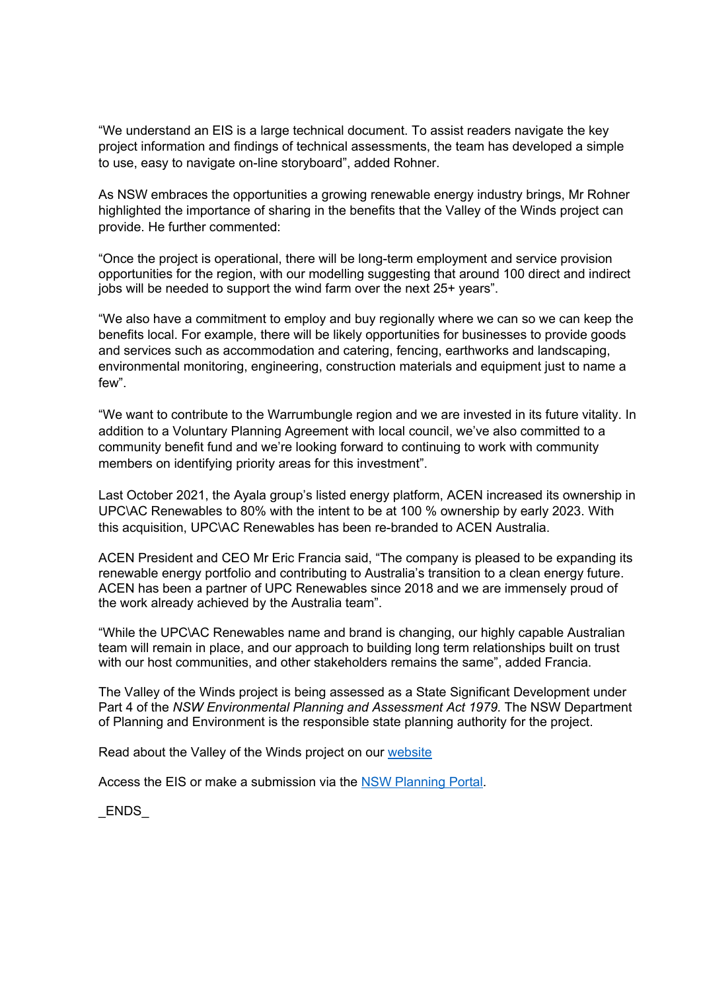"We understand an EIS is a large technical document. To assist readers navigate the key project information and findings of technical assessments, the team has developed a simple to use, easy to navigate on-line storyboard", added Rohner.

As NSW embraces the opportunities a growing renewable energy industry brings, Mr Rohner highlighted the importance of sharing in the benefits that the Valley of the Winds project can provide. He further commented:

"Once the project is operational, there will be long-term employment and service provision opportunities for the region, with our modelling suggesting that around 100 direct and indirect jobs will be needed to support the wind farm over the next 25+ years".

"We also have a commitment to employ and buy regionally where we can so we can keep the benefits local. For example, there will be likely opportunities for businesses to provide goods and services such as accommodation and catering, fencing, earthworks and landscaping, environmental monitoring, engineering, construction materials and equipment just to name a few".

"We want to contribute to the Warrumbungle region and we are invested in its future vitality. In addition to a Voluntary Planning Agreement with local council, we've also committed to a community benefit fund and we're looking forward to continuing to work with community members on identifying priority areas for this investment".

Last October 2021, the Ayala group's listed energy platform, ACEN increased its ownership in UPC\AC Renewables to 80% with the intent to be at 100 % ownership by early 2023. With this acquisition, UPC\AC Renewables has been re-branded to ACEN Australia.

ACEN President and CEO Mr Eric Francia said, "The company is pleased to be expanding its renewable energy portfolio and contributing to Australia's transition to a clean energy future. ACEN has been a partner of UPC Renewables since 2018 and we are immensely proud of the work already achieved by the Australia team".

"While the UPC\AC Renewables name and brand is changing, our highly capable Australian team will remain in place, and our approach to building long term relationships built on trust with our host communities, and other stakeholders remains the same", added Francia.

The Valley of the Winds project is being assessed as a State Significant Development under Part 4 of the *NSW Environmental Planning and Assessment Act 1979*. The NSW Department of Planning and Environment is the responsible state planning authority for the project.

Read about the Valley of the Winds project on our website

Access the EIS or make a submission via the NSW Planning Portal.

\_ENDS\_